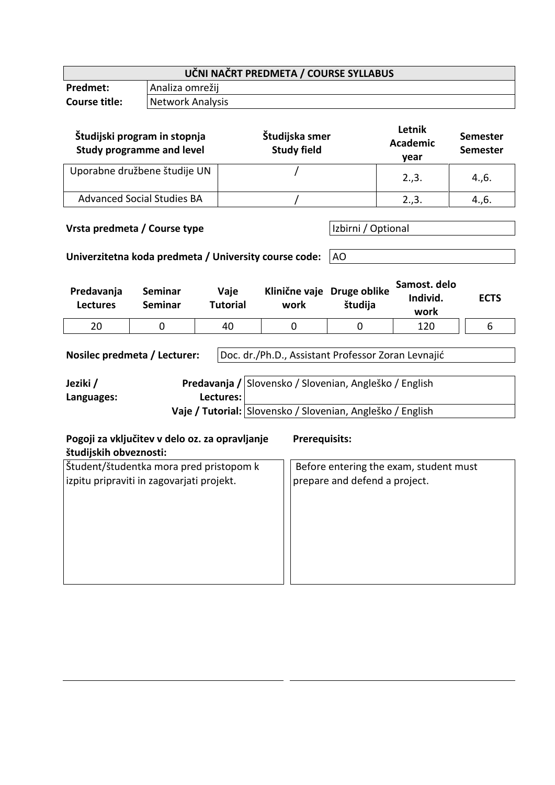| UČNI NAČRT PREDMETA / COURSE SYLLABUS                                                                                                                                                                                                                               |                                                                                       |                                      |                                    |                          |                                   |                                    |  |
|---------------------------------------------------------------------------------------------------------------------------------------------------------------------------------------------------------------------------------------------------------------------|---------------------------------------------------------------------------------------|--------------------------------------|------------------------------------|--------------------------|-----------------------------------|------------------------------------|--|
| <b>Predmet:</b>                                                                                                                                                                                                                                                     | Analiza omrežij                                                                       |                                      |                                    |                          |                                   |                                    |  |
| <b>Course title:</b>                                                                                                                                                                                                                                                |                                                                                       | <b>Network Analysis</b>              |                                    |                          |                                   |                                    |  |
|                                                                                                                                                                                                                                                                     | Študijski program in stopnja<br><b>Study programme and level</b>                      | Študijska smer<br><b>Study field</b> |                                    |                          | Letnik<br><b>Academic</b><br>year | <b>Semester</b><br><b>Semester</b> |  |
| Uporabne družbene študije UN                                                                                                                                                                                                                                        |                                                                                       |                                      | 2.,3.                              | 4., 6.                   |                                   |                                    |  |
|                                                                                                                                                                                                                                                                     | <b>Advanced Social Studies BA</b>                                                     |                                      |                                    |                          | 2.,3.                             | 4., 6.                             |  |
|                                                                                                                                                                                                                                                                     | Vrsta predmeta / Course type<br>Univerzitetna koda predmeta / University course code: |                                      |                                    | Izbirni / Optional<br>AO |                                   |                                    |  |
| Predavanja<br><b>Lectures</b>                                                                                                                                                                                                                                       | Seminar<br><b>Seminar</b>                                                             | Vaje<br><b>Tutorial</b>              | Klinične vaje Druge oblike<br>work | študija                  | Samost. delo<br>Individ.<br>work  | <b>ECTS</b>                        |  |
| 20                                                                                                                                                                                                                                                                  | 0                                                                                     | 40                                   | 0                                  | 0                        | 120                               | 6                                  |  |
| Doc. dr./Ph.D., Assistant Professor Zoran Levnajić<br>Nosilec predmeta / Lecturer:<br>Predavanja / Slovensko / Slovenian, Angleško / English<br>Jeziki /                                                                                                            |                                                                                       |                                      |                                    |                          |                                   |                                    |  |
| Languages:                                                                                                                                                                                                                                                          | Lectures:                                                                             |                                      |                                    |                          |                                   |                                    |  |
| Vaje / Tutorial: Slovensko / Slovenian, Angleško / English                                                                                                                                                                                                          |                                                                                       |                                      |                                    |                          |                                   |                                    |  |
| Pogoji za vključitev v delo oz. za opravljanje<br><b>Prerequisits:</b><br>študijskih obveznosti:<br>Študent/študentka mora pred pristopom k<br>Before entering the exam, student must<br>izpitu pripraviti in zagovarjati projekt.<br>prepare and defend a project. |                                                                                       |                                      |                                    |                          |                                   |                                    |  |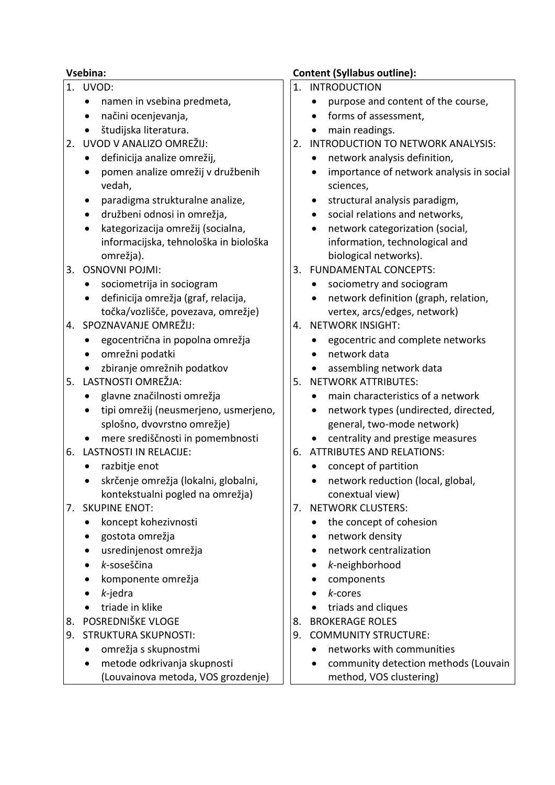- 1. UVOD:
	- namen in vsebina predmeta,
	- načini ocenjevanja,
	- študijska literatura.
- 2. UVOD V ANALIZO OMREŽIJ:
	- definicija analize omrežij,
	- pomen analize omrežij v družbenih vedah,
	- paradigma strukturalne analize,
	- družbeni odnosi in omrežja,
	- kategorizacija omrežij (socialna, informacijska, tehnološka in biološka omrežja).
- 3. OSNOVNI POJMI:
	- sociometrija in sociogram
	- definicija omrežja (graf, relacija, točka/vozlišče, povezava, omrežje)
- 4. SPOZNAVANJE OMREŽIJ:
	- egocentrična in popolna omrežja
	- omrežni podatki
	- zbiranje omrežnih podatkov
- 5. LASTNOSTI OMREŽJA:
	- glavne značilnosti omrežja
	- tipi omrežij (neusmerjeno, usmerjeno, splošno, dvovrstno omrežje)
	- mere središčnosti in pomembnosti
- 6. LASTNOSTI IN RELACIJE:
	- razbitje enot
	- skrčenje omrežja (lokalni, globalni, kontekstualni pogled na omrežja)
- 7. SKUPINE ENOT:
	- koncept kohezivnosti
	- gostota omrežja
	- usredinjenost omrežja
	- *k-*soseščina
	- komponente omrežja
	- *k-*jedra
	- triade in klike
- 8. POSREDNIŠKE VLOGE
- 9. STRUKTURA SKUPNOSTI:
	- omrežja s skupnostmi
	- metode odkrivanja skupnosti (Louvainova metoda, VOS grozdenje)

## **Vsebina: Content (Syllabus outline):**

- 1. INTRODUCTION
	- purpose and content of the course,
	- forms of assessment,
	- main readings.
- 2. INTRODUCTION TO NETWORK ANALYSIS:
	- network analysis definition,
	- importance of network analysis in social sciences,
	- structural analysis paradigm,
	- social relations and networks,
	- network categorization (social, information, technological and biological networks).
- 3. FUNDAMENTAL CONCEPTS:
	- sociometry and sociogram
	- network definition (graph, relation, vertex, arcs/edges, network)
- 4. NETWORK INSIGHT:
	- egocentric and complete networks
	- network data
	- assembling network data
- 5. NETWORK ATTRIBUTES:
	- main characteristics of a network
	- network types (undirected, directed, general, two-mode network)
	- centrality and prestige measures
- 6. ATTRIBUTES AND RELATIONS:
	- concept of partition
	- network reduction (local, global, conextual view)
- 7. NETWORK CLUSTERS:
	- the concept of cohesion
	- network density
	- network centralization
	- *k-*neighborhood
	- components
	- *k-*cores
	- triads and cliques
- 8. BROKERAGE ROLES
- 9. COMMUNITY STRUCTURE:
	- networks with communities
	- community detection methods (Louvain method, VOS clustering)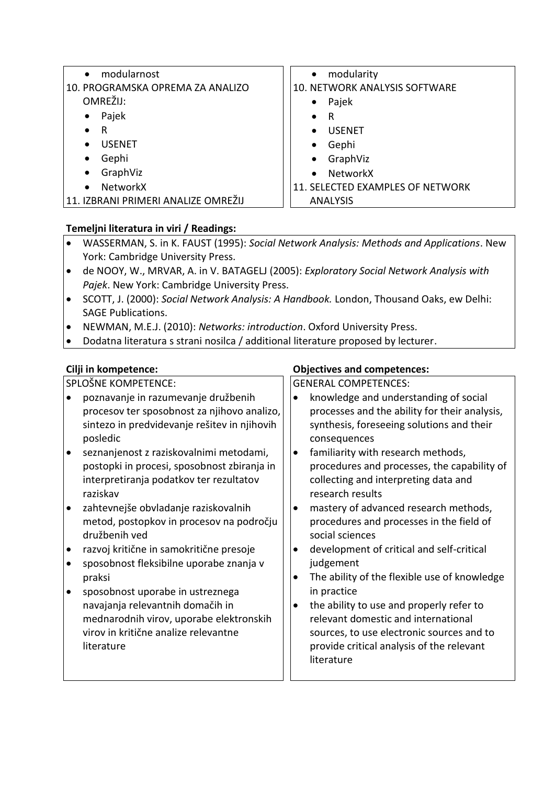| modularnost                         | modularity                       |  |  |
|-------------------------------------|----------------------------------|--|--|
| $\bullet$                           | $\bullet$                        |  |  |
| 10. PROGRAMSKA OPREMA ZA ANALIZO    | 10. NETWORK ANALYSIS SOFTWARE    |  |  |
| OMREŽIJ:                            | Pajek<br>$\bullet$               |  |  |
| Pajek                               | R                                |  |  |
| $\bullet$                           | $\bullet$                        |  |  |
| R                                   | <b>USENET</b>                    |  |  |
| $\bullet$                           | $\bullet$                        |  |  |
| <b>USENET</b>                       | Gephi<br>$\bullet$               |  |  |
| Gephi                               | GraphViz                         |  |  |
| $\bullet$                           | $\bullet$                        |  |  |
| GraphViz                            | <b>NetworkX</b>                  |  |  |
| $\bullet$                           | $\bullet$                        |  |  |
| NetworkX<br>$\bullet$               | 11. SELECTED EXAMPLES OF NETWORK |  |  |
| 11. IZBRANI PRIMERI ANALIZE OMREŽIJ | <b>ANALYSIS</b>                  |  |  |

# **Temeljni literatura in viri / Readings:**

- WASSERMAN, S. in K. FAUST (1995): *Social Network Analysis: Methods and Applications*. New York: Cambridge University Press.
- de NOOY, W., MRVAR, A. in V. BATAGELJ (2005): *Exploratory Social Network Analysis with Pajek*. New York: Cambridge University Press.
- SCOTT, J. (2000): *Social Network Analysis: A Handbook.* London, Thousand Oaks, ew Delhi: SAGE Publications.
- NEWMAN, M.E.J. (2010): *Networks: introduction*. Oxford University Press.
- Dodatna literatura s strani nosilca / additional literature proposed by lecturer.

SPLOŠNE KOMPETENCE:

- poznavanje in razumevanje družbenih procesov ter sposobnost za njihovo analizo, sintezo in predvidevanje rešitev in njihovih posledic
- seznanjenost z raziskovalnimi metodami, postopki in procesi, sposobnost zbiranja in interpretiranja podatkov ter rezultatov raziskav
- zahtevnejše obvladanje raziskovalnih metod, postopkov in procesov na področju družbenih ved
- razvoj kritične in samokritične presoje
- sposobnost fleksibilne uporabe znanja v praksi
- sposobnost uporabe in ustreznega navajanja relevantnih domačih in mednarodnih virov, uporabe elektronskih virov in kritične analize relevantne literature

### **Cilji in kompetence: Objectives and competences:**

GENERAL COMPETENCES:

- knowledge and understanding of social processes and the ability for their analysis, synthesis, foreseeing solutions and their consequences
- familiarity with research methods, procedures and processes, the capability of collecting and interpreting data and research results
- mastery of advanced research methods, procedures and processes in the field of social sciences
- development of critical and self-critical judgement
- The ability of the flexible use of knowledge in practice
- the ability to use and properly refer to relevant domestic and international sources, to use electronic sources and to provide critical analysis of the relevant literature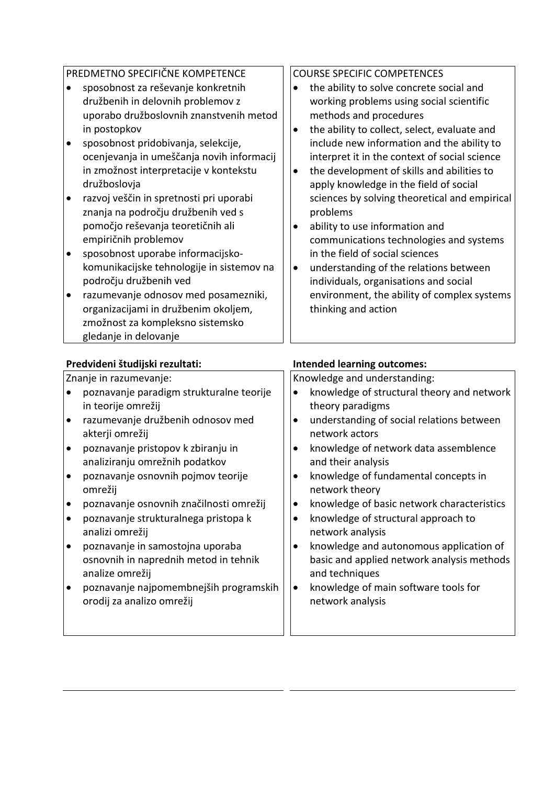|           | PREDMETNO SPECIFIČNE KOMPETENCE                                                                                                            |           | <b>COURSE SPECIFIC COMPETENCES</b>                                                                                                                                                  |
|-----------|--------------------------------------------------------------------------------------------------------------------------------------------|-----------|-------------------------------------------------------------------------------------------------------------------------------------------------------------------------------------|
|           | sposobnost za reševanje konkretnih<br>družbenih in delovnih problemov z<br>uporabo družboslovnih znanstvenih metod<br>in postopkov         | $\bullet$ | the ability to solve concrete social and<br>working problems using social scientific<br>methods and procedures<br>the ability to collect, select, evaluate and                      |
| $\bullet$ | sposobnost pridobivanja, selekcije,<br>ocenjevanja in umeščanja novih informacij<br>in zmožnost interpretacije v kontekstu<br>družboslovja | $\bullet$ | include new information and the ability to<br>interpret it in the context of social science<br>the development of skills and abilities to<br>apply knowledge in the field of social |
| $\bullet$ | razvoj veščin in spretnosti pri uporabi<br>znanja na področju družbenih ved s<br>pomočjo reševanja teoretičnih ali<br>empiričnih problemov | ٠         | sciences by solving theoretical and empirical<br>problems<br>ability to use information and<br>communications technologies and systems                                              |
| $\bullet$ | sposobnost uporabe informacijsko-<br>komunikacijske tehnologije in sistemov na<br>področju družbenih ved                                   | $\bullet$ | in the field of social sciences<br>understanding of the relations between<br>individuals, organisations and social                                                                  |
| $\bullet$ | razumevanje odnosov med posamezniki,<br>organizacijami in družbenim okoljem,<br>zmožnost za kompleksno sistemsko<br>gledanje in delovanje  |           | environment, the ability of complex systems<br>thinking and action                                                                                                                  |

#### **Predvideni študijski rezultati: Intended learning outcomes:**

#### Znanje in razumevanje: poznavanje paradigm strukturalne teorije in teorije omrežij razumevanje družbenih odnosov med akterji omrežij poznavanje pristopov k zbiranju in analiziranju omrežnih podatkov poznavanje osnovnih pojmov teorije omrežij poznavanje osnovnih značilnosti omrežij poznavanje strukturalnega pristopa k analizi omrežij poznavanje in samostojna uporaba osnovnih in naprednih metod in tehnik analize omrežij poznavanje najpomembnejših programskih orodij za analizo omrežij Knowledge and understanding: • knowledge of structural theory and network theory paradigms understanding of social relations between network actors • knowledge of network data assemblence and their analysis • knowledge of fundamental concepts in network theory • knowledge of basic network characteristics • knowledge of structural approach to network analysis • knowledge and autonomous application of basic and applied network analysis methods and techniques • knowledge of main software tools for network analysis